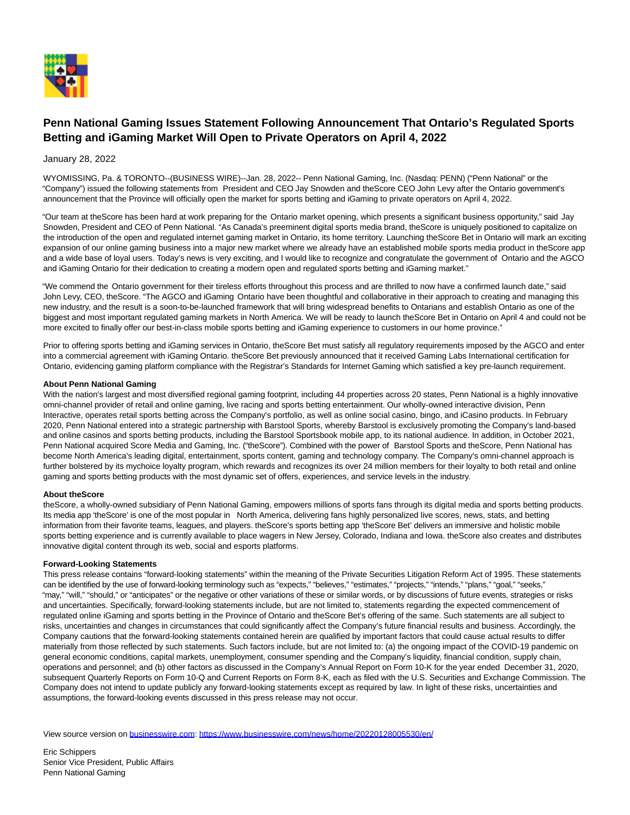

# **Penn National Gaming Issues Statement Following Announcement That Ontario's Regulated Sports Betting and iGaming Market Will Open to Private Operators on April 4, 2022**

## January 28, 2022

WYOMISSING, Pa. & TORONTO--(BUSINESS WIRE)--Jan. 28, 2022-- Penn National Gaming, Inc. (Nasdaq: PENN) ("Penn National" or the "Company") issued the following statements from President and CEO Jay Snowden and theScore CEO John Levy after the Ontario government's announcement that the Province will officially open the market for sports betting and iGaming to private operators on April 4, 2022.

"Our team at theScore has been hard at work preparing for the Ontario market opening, which presents a significant business opportunity," said Jay Snowden, President and CEO of Penn National. "As Canada's preeminent digital sports media brand, theScore is uniquely positioned to capitalize on the introduction of the open and regulated internet gaming market in Ontario, its home territory. Launching theScore Bet in Ontario will mark an exciting expansion of our online gaming business into a major new market where we already have an established mobile sports media product in theScore app and a wide base of loyal users. Today's news is very exciting, and I would like to recognize and congratulate the government of Ontario and the AGCO and iGaming Ontario for their dedication to creating a modern open and regulated sports betting and iGaming market."

"We commend the Ontario government for their tireless efforts throughout this process and are thrilled to now have a confirmed launch date," said John Levy, CEO, theScore. "The AGCO and iGaming Ontario have been thoughtful and collaborative in their approach to creating and managing this new industry, and the result is a soon-to-be-launched framework that will bring widespread benefits to Ontarians and establish Ontario as one of the biggest and most important regulated gaming markets in North America. We will be ready to launch theScore Bet in Ontario on April 4 and could not be more excited to finally offer our best-in-class mobile sports betting and iGaming experience to customers in our home province."

Prior to offering sports betting and iGaming services in Ontario, theScore Bet must satisfy all regulatory requirements imposed by the AGCO and enter into a commercial agreement with iGaming Ontario. theScore Bet previously announced that it received Gaming Labs International certification for Ontario, evidencing gaming platform compliance with the Registrar's Standards for Internet Gaming which satisfied a key pre-launch requirement.

### **About Penn National Gaming**

With the nation's largest and most diversified regional gaming footprint, including 44 properties across 20 states, Penn National is a highly innovative omni-channel provider of retail and online gaming, live racing and sports betting entertainment. Our wholly-owned interactive division, Penn Interactive, operates retail sports betting across the Company's portfolio, as well as online social casino, bingo, and iCasino products. In February 2020, Penn National entered into a strategic partnership with Barstool Sports, whereby Barstool is exclusively promoting the Company's land-based and online casinos and sports betting products, including the Barstool Sportsbook mobile app, to its national audience. In addition, in October 2021, Penn National acquired Score Media and Gaming, Inc. ("theScore"). Combined with the power of Barstool Sports and theScore, Penn National has become North America's leading digital, entertainment, sports content, gaming and technology company. The Company's omni-channel approach is further bolstered by its mychoice loyalty program, which rewards and recognizes its over 24 million members for their loyalty to both retail and online gaming and sports betting products with the most dynamic set of offers, experiences, and service levels in the industry.

### **About theScore**

theScore, a wholly-owned subsidiary of Penn National Gaming, empowers millions of sports fans through its digital media and sports betting products. Its media app 'theScore' is one of the most popular in North America, delivering fans highly personalized live scores, news, stats, and betting information from their favorite teams, leagues, and players. theScore's sports betting app 'theScore Bet' delivers an immersive and holistic mobile sports betting experience and is currently available to place wagers in New Jersey, Colorado, Indiana and Iowa. theScore also creates and distributes innovative digital content through its web, social and esports platforms.

### **Forward-Looking Statements**

This press release contains "forward-looking statements" within the meaning of the Private Securities Litigation Reform Act of 1995. These statements can be identified by the use of forward-looking terminology such as "expects," "believes," "estimates," "projects," "intends," "plans," "goal," "seeks," "may," "will," "should," or "anticipates" or the negative or other variations of these or similar words, or by discussions of future events, strategies or risks and uncertainties. Specifically, forward-looking statements include, but are not limited to, statements regarding the expected commencement of regulated online iGaming and sports betting in the Province of Ontario and theScore Bet's offering of the same. Such statements are all subject to risks, uncertainties and changes in circumstances that could significantly affect the Company's future financial results and business. Accordingly, the Company cautions that the forward-looking statements contained herein are qualified by important factors that could cause actual results to differ materially from those reflected by such statements. Such factors include, but are not limited to: (a) the ongoing impact of the COVID-19 pandemic on general economic conditions, capital markets, unemployment, consumer spending and the Company's liquidity, financial condition, supply chain, operations and personnel; and (b) other factors as discussed in the Company's Annual Report on Form 10-K for the year ended December 31, 2020, subsequent Quarterly Reports on Form 10-Q and Current Reports on Form 8-K, each as filed with the U.S. Securities and Exchange Commission. The Company does not intend to update publicly any forward-looking statements except as required by law. In light of these risks, uncertainties and assumptions, the forward-looking events discussed in this press release may not occur.

View source version on [businesswire.com:](http://businesswire.com/)<https://www.businesswire.com/news/home/20220128005530/en/>

Eric Schippers Senior Vice President, Public Affairs Penn National Gaming